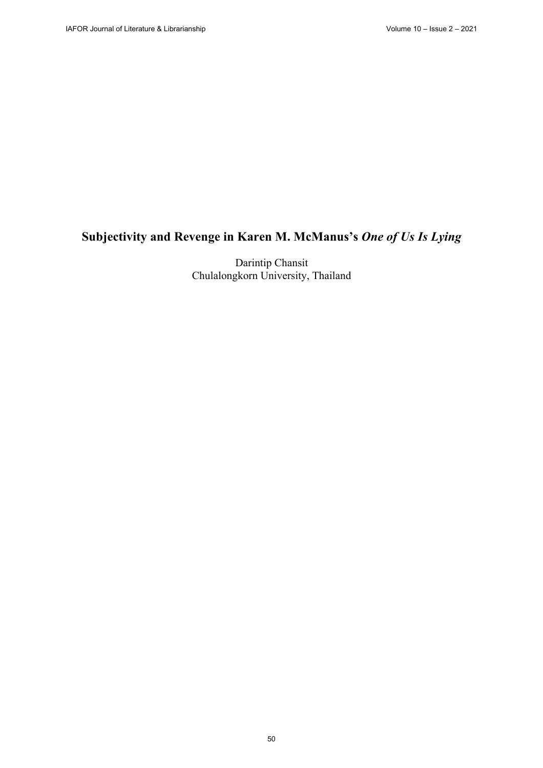# **Subjectivity and Revenge in Karen M. McManus's** *One of Us Is Lying*

Darintip Chansit Chulalongkorn University, Thailand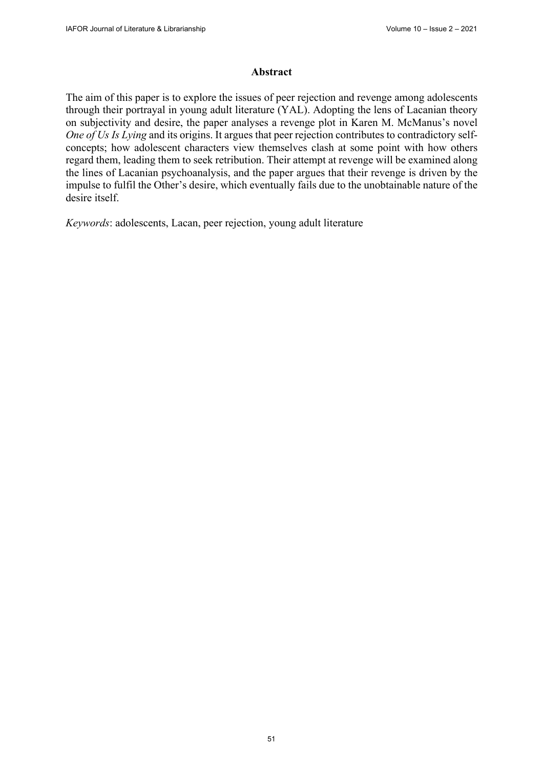#### **Abstract**

The aim of this paper is to explore the issues of peer rejection and revenge among adolescents through their portrayal in young adult literature (YAL). Adopting the lens of Lacanian theory on subjectivity and desire, the paper analyses a revenge plot in Karen M. McManus's novel *One of Us Is Lying* and its origins. It argues that peer rejection contributes to contradictory selfconcepts; how adolescent characters view themselves clash at some point with how others regard them, leading them to seek retribution. Their attempt at revenge will be examined along the lines of Lacanian psychoanalysis, and the paper argues that their revenge is driven by the impulse to fulfil the Other's desire, which eventually fails due to the unobtainable nature of the desire itself.

*Keywords*: adolescents, Lacan, peer rejection, young adult literature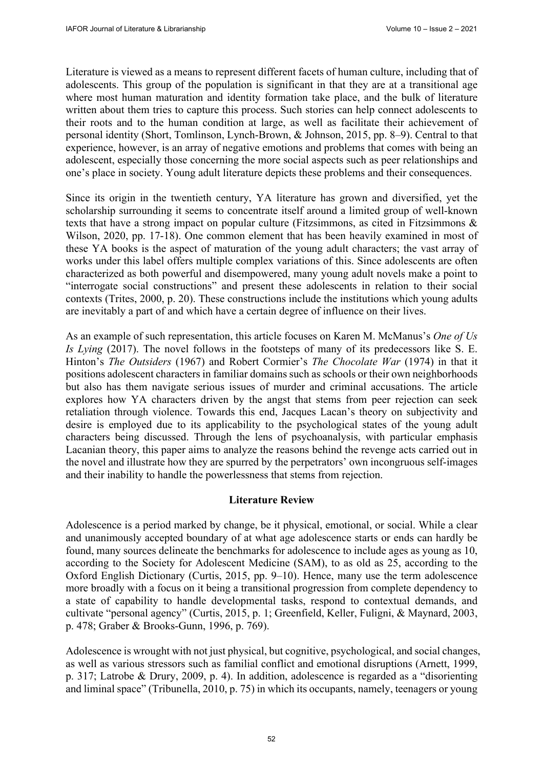Literature is viewed as a means to represent different facets of human culture, including that of adolescents. This group of the population is significant in that they are at a transitional age where most human maturation and identity formation take place, and the bulk of literature written about them tries to capture this process. Such stories can help connect adolescents to their roots and to the human condition at large, as well as facilitate their achievement of personal identity (Short, Tomlinson, Lynch-Brown, & Johnson, 2015, pp. 8–9). Central to that experience, however, is an array of negative emotions and problems that comes with being an adolescent, especially those concerning the more social aspects such as peer relationships and one's place in society. Young adult literature depicts these problems and their consequences.

Since its origin in the twentieth century, YA literature has grown and diversified, yet the scholarship surrounding it seems to concentrate itself around a limited group of well-known texts that have a strong impact on popular culture (Fitzsimmons, as cited in Fitzsimmons & Wilson, 2020, pp. 17-18). One common element that has been heavily examined in most of these YA books is the aspect of maturation of the young adult characters; the vast array of works under this label offers multiple complex variations of this. Since adolescents are often characterized as both powerful and disempowered, many young adult novels make a point to "interrogate social constructions" and present these adolescents in relation to their social contexts (Trites, 2000, p. 20). These constructions include the institutions which young adults are inevitably a part of and which have a certain degree of influence on their lives.

As an example of such representation, this article focuses on Karen M. McManus's *One of Us Is Lying* (2017). The novel follows in the footsteps of many of its predecessors like S. E. Hinton's *The Outsiders* (1967) and Robert Cormier's *The Chocolate War* (1974) in that it positions adolescent characters in familiar domains such as schools or their own neighborhoods but also has them navigate serious issues of murder and criminal accusations. The article explores how YA characters driven by the angst that stems from peer rejection can seek retaliation through violence. Towards this end, Jacques Lacan's theory on subjectivity and desire is employed due to its applicability to the psychological states of the young adult characters being discussed. Through the lens of psychoanalysis, with particular emphasis Lacanian theory, this paper aims to analyze the reasons behind the revenge acts carried out in the novel and illustrate how they are spurred by the perpetrators' own incongruous self-images and their inability to handle the powerlessness that stems from rejection.

# **Literature Review**

Adolescence is a period marked by change, be it physical, emotional, or social. While a clear and unanimously accepted boundary of at what age adolescence starts or ends can hardly be found, many sources delineate the benchmarks for adolescence to include ages as young as 10, according to the Society for Adolescent Medicine (SAM), to as old as 25, according to the Oxford English Dictionary (Curtis, 2015, pp. 9–10). Hence, many use the term adolescence more broadly with a focus on it being a transitional progression from complete dependency to a state of capability to handle developmental tasks, respond to contextual demands, and cultivate "personal agency" (Curtis, 2015, p. 1; Greenfield, Keller, Fuligni, & Maynard, 2003, p. 478; Graber & Brooks-Gunn, 1996, p. 769).

Adolescence is wrought with not just physical, but cognitive, psychological, and social changes, as well as various stressors such as familial conflict and emotional disruptions (Arnett, 1999, p. 317; Latrobe & Drury, 2009, p. 4). In addition, adolescence is regarded as a "disorienting and liminal space" (Tribunella, 2010, p. 75) in which its occupants, namely, teenagers or young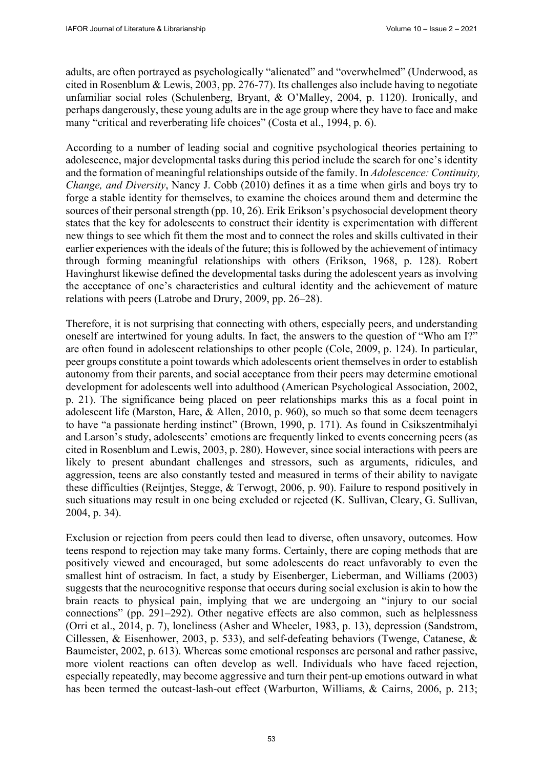adults, are often portrayed as psychologically "alienated" and "overwhelmed" (Underwood, as cited in Rosenblum & Lewis, 2003, pp. 276-77). Its challenges also include having to negotiate unfamiliar social roles (Schulenberg, Bryant, & O'Malley, 2004, p. 1120). Ironically, and perhaps dangerously, these young adults are in the age group where they have to face and make many "critical and reverberating life choices" (Costa et al., 1994, p. 6).

According to a number of leading social and cognitive psychological theories pertaining to adolescence, major developmental tasks during this period include the search for one's identity and the formation of meaningful relationships outside of the family. In *Adolescence: Continuity, Change, and Diversity*, Nancy J. Cobb (2010) defines it as a time when girls and boys try to forge a stable identity for themselves, to examine the choices around them and determine the sources of their personal strength (pp. 10, 26). Erik Erikson's psychosocial development theory states that the key for adolescents to construct their identity is experimentation with different new things to see which fit them the most and to connect the roles and skills cultivated in their earlier experiences with the ideals of the future; this is followed by the achievement of intimacy through forming meaningful relationships with others (Erikson, 1968, p. 128). Robert Havinghurst likewise defined the developmental tasks during the adolescent years as involving the acceptance of one's characteristics and cultural identity and the achievement of mature relations with peers (Latrobe and Drury, 2009, pp. 26–28).

Therefore, it is not surprising that connecting with others, especially peers, and understanding oneself are intertwined for young adults. In fact, the answers to the question of "Who am I?" are often found in adolescent relationships to other people (Cole, 2009, p. 124). In particular, peer groups constitute a point towards which adolescents orient themselves in order to establish autonomy from their parents, and social acceptance from their peers may determine emotional development for adolescents well into adulthood (American Psychological Association, 2002, p. 21). The significance being placed on peer relationships marks this as a focal point in adolescent life (Marston, Hare, & Allen, 2010, p. 960), so much so that some deem teenagers to have "a passionate herding instinct" (Brown, 1990, p. 171). As found in Csikszentmihalyi and Larson's study, adolescents' emotions are frequently linked to events concerning peers (as cited in Rosenblum and Lewis, 2003, p. 280). However, since social interactions with peers are likely to present abundant challenges and stressors, such as arguments, ridicules, and aggression, teens are also constantly tested and measured in terms of their ability to navigate these difficulties (Reijntjes, Stegge, & Terwogt, 2006, p. 90). Failure to respond positively in such situations may result in one being excluded or rejected (K. Sullivan, Cleary, G. Sullivan, 2004, p. 34).

Exclusion or rejection from peers could then lead to diverse, often unsavory, outcomes. How teens respond to rejection may take many forms. Certainly, there are coping methods that are positively viewed and encouraged, but some adolescents do react unfavorably to even the smallest hint of ostracism. In fact, a study by Eisenberger, Lieberman, and Williams (2003) suggests that the neurocognitive response that occurs during social exclusion is akin to how the brain reacts to physical pain, implying that we are undergoing an "injury to our social connections" (pp. 291–292). Other negative effects are also common, such as helplessness (Orri et al., 2014, p. 7), loneliness (Asher and Wheeler, 1983, p. 13), depression (Sandstrom, Cillessen, & Eisenhower, 2003, p. 533), and self-defeating behaviors (Twenge, Catanese, & Baumeister, 2002, p. 613). Whereas some emotional responses are personal and rather passive, more violent reactions can often develop as well. Individuals who have faced rejection, especially repeatedly, may become aggressive and turn their pent-up emotions outward in what has been termed the outcast-lash-out effect (Warburton, Williams, & Cairns, 2006, p. 213;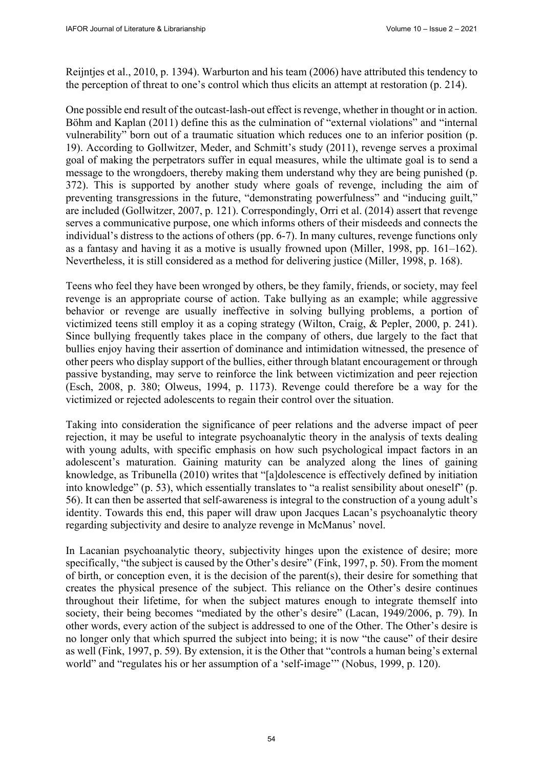Reijntjes et al., 2010, p. 1394). Warburton and his team (2006) have attributed this tendency to the perception of threat to one's control which thus elicits an attempt at restoration (p. 214).

One possible end result of the outcast-lash-out effect is revenge, whether in thought or in action. Böhm and Kaplan (2011) define this as the culmination of "external violations" and "internal vulnerability" born out of a traumatic situation which reduces one to an inferior position (p. 19). According to Gollwitzer, Meder, and Schmitt's study (2011), revenge serves a proximal goal of making the perpetrators suffer in equal measures, while the ultimate goal is to send a message to the wrongdoers, thereby making them understand why they are being punished (p. 372). This is supported by another study where goals of revenge, including the aim of preventing transgressions in the future, "demonstrating powerfulness" and "inducing guilt," are included (Gollwitzer, 2007, p. 121). Correspondingly, Orri et al. (2014) assert that revenge serves a communicative purpose, one which informs others of their misdeeds and connects the individual's distress to the actions of others (pp. 6-7). In many cultures, revenge functions only as a fantasy and having it as a motive is usually frowned upon (Miller, 1998, pp. 161–162). Nevertheless, it is still considered as a method for delivering justice (Miller, 1998, p. 168).

Teens who feel they have been wronged by others, be they family, friends, or society, may feel revenge is an appropriate course of action. Take bullying as an example; while aggressive behavior or revenge are usually ineffective in solving bullying problems, a portion of victimized teens still employ it as a coping strategy (Wilton, Craig, & Pepler, 2000, p. 241). Since bullying frequently takes place in the company of others, due largely to the fact that bullies enjoy having their assertion of dominance and intimidation witnessed, the presence of other peers who display support of the bullies, either through blatant encouragement or through passive bystanding, may serve to reinforce the link between victimization and peer rejection (Esch, 2008, p. 380; Olweus, 1994, p. 1173). Revenge could therefore be a way for the victimized or rejected adolescents to regain their control over the situation.

Taking into consideration the significance of peer relations and the adverse impact of peer rejection, it may be useful to integrate psychoanalytic theory in the analysis of texts dealing with young adults, with specific emphasis on how such psychological impact factors in an adolescent's maturation. Gaining maturity can be analyzed along the lines of gaining knowledge, as Tribunella (2010) writes that "[a]dolescence is effectively defined by initiation into knowledge" (p. 53), which essentially translates to "a realist sensibility about oneself" (p. 56). It can then be asserted that self-awareness is integral to the construction of a young adult's identity. Towards this end, this paper will draw upon Jacques Lacan's psychoanalytic theory regarding subjectivity and desire to analyze revenge in McManus' novel.

In Lacanian psychoanalytic theory, subjectivity hinges upon the existence of desire; more specifically, "the subject is caused by the Other's desire" (Fink, 1997, p. 50). From the moment of birth, or conception even, it is the decision of the parent(s), their desire for something that creates the physical presence of the subject. This reliance on the Other's desire continues throughout their lifetime, for when the subject matures enough to integrate themself into society, their being becomes "mediated by the other's desire" (Lacan, 1949/2006, p. 79). In other words, every action of the subject is addressed to one of the Other. The Other's desire is no longer only that which spurred the subject into being; it is now "the cause" of their desire as well (Fink, 1997, p. 59). By extension, it is the Other that "controls a human being's external world" and "regulates his or her assumption of a 'self-image'" (Nobus, 1999, p. 120).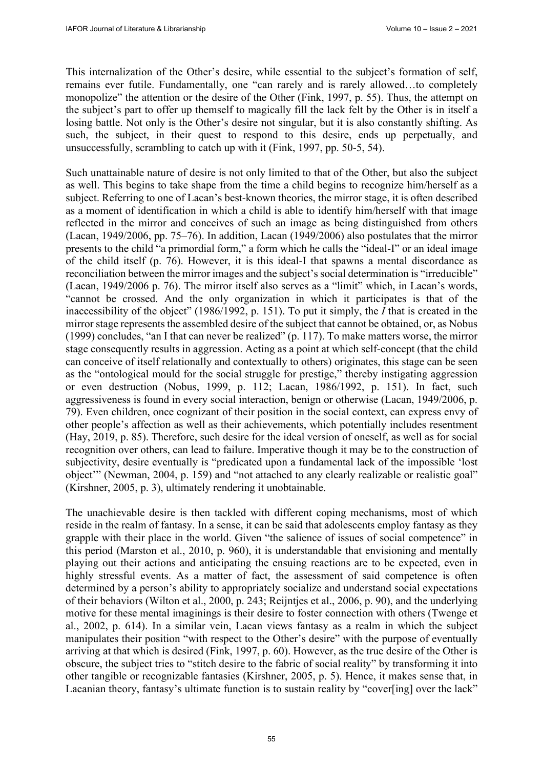This internalization of the Other's desire, while essential to the subject's formation of self, remains ever futile. Fundamentally, one "can rarely and is rarely allowed…to completely monopolize" the attention or the desire of the Other (Fink, 1997, p. 55). Thus, the attempt on the subject's part to offer up themself to magically fill the lack felt by the Other is in itself a losing battle. Not only is the Other's desire not singular, but it is also constantly shifting. As such, the subject, in their quest to respond to this desire, ends up perpetually, and unsuccessfully, scrambling to catch up with it (Fink, 1997, pp. 50-5, 54).

Such unattainable nature of desire is not only limited to that of the Other, but also the subject as well. This begins to take shape from the time a child begins to recognize him/herself as a subject. Referring to one of Lacan's best-known theories, the mirror stage, it is often described as a moment of identification in which a child is able to identify him/herself with that image reflected in the mirror and conceives of such an image as being distinguished from others (Lacan, 1949/2006, pp. 75–76). In addition, Lacan (1949/2006) also postulates that the mirror presents to the child "a primordial form," a form which he calls the "ideal-I" or an ideal image of the child itself (p. 76). However, it is this ideal-I that spawns a mental discordance as reconciliation between the mirror images and the subject's social determination is "irreducible" (Lacan, 1949/2006 p. 76). The mirror itself also serves as a "limit" which, in Lacan's words, "cannot be crossed. And the only organization in which it participates is that of the inaccessibility of the object" (1986/1992, p. 151). To put it simply, the *I* that is created in the mirror stage represents the assembled desire of the subject that cannot be obtained, or, as Nobus (1999) concludes, "an I that can never be realized" (p. 117). To make matters worse, the mirror stage consequently results in aggression. Acting as a point at which self-concept (that the child can conceive of itself relationally and contextually to others) originates, this stage can be seen as the "ontological mould for the social struggle for prestige," thereby instigating aggression or even destruction (Nobus, 1999, p. 112; Lacan, 1986/1992, p. 151). In fact, such aggressiveness is found in every social interaction, benign or otherwise (Lacan, 1949/2006, p. 79). Even children, once cognizant of their position in the social context, can express envy of other people's affection as well as their achievements, which potentially includes resentment (Hay, 2019, p. 85). Therefore, such desire for the ideal version of oneself, as well as for social recognition over others, can lead to failure. Imperative though it may be to the construction of subjectivity, desire eventually is "predicated upon a fundamental lack of the impossible 'lost object'" (Newman, 2004, p. 159) and "not attached to any clearly realizable or realistic goal" (Kirshner, 2005, p. 3), ultimately rendering it unobtainable.

The unachievable desire is then tackled with different coping mechanisms, most of which reside in the realm of fantasy. In a sense, it can be said that adolescents employ fantasy as they grapple with their place in the world. Given "the salience of issues of social competence" in this period (Marston et al., 2010, p. 960), it is understandable that envisioning and mentally playing out their actions and anticipating the ensuing reactions are to be expected, even in highly stressful events. As a matter of fact, the assessment of said competence is often determined by a person's ability to appropriately socialize and understand social expectations of their behaviors (Wilton et al., 2000, p. 243; Reijntjes et al., 2006, p. 90), and the underlying motive for these mental imaginings is their desire to foster connection with others (Twenge et al., 2002, p. 614). In a similar vein, Lacan views fantasy as a realm in which the subject manipulates their position "with respect to the Other's desire" with the purpose of eventually arriving at that which is desired (Fink, 1997, p. 60). However, as the true desire of the Other is obscure, the subject tries to "stitch desire to the fabric of social reality" by transforming it into other tangible or recognizable fantasies (Kirshner, 2005, p. 5). Hence, it makes sense that, in Lacanian theory, fantasy's ultimate function is to sustain reality by "cover[ing] over the lack"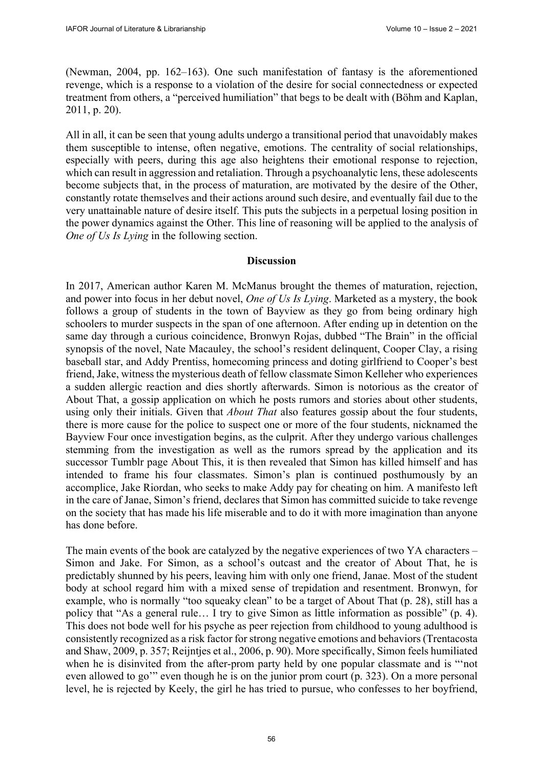(Newman, 2004, pp. 162–163). One such manifestation of fantasy is the aforementioned revenge, which is a response to a violation of the desire for social connectedness or expected treatment from others, a "perceived humiliation" that begs to be dealt with (Böhm and Kaplan, 2011, p. 20).

All in all, it can be seen that young adults undergo a transitional period that unavoidably makes them susceptible to intense, often negative, emotions. The centrality of social relationships, especially with peers, during this age also heightens their emotional response to rejection, which can result in aggression and retaliation. Through a psychoanalytic lens, these adolescents become subjects that, in the process of maturation, are motivated by the desire of the Other, constantly rotate themselves and their actions around such desire, and eventually fail due to the very unattainable nature of desire itself. This puts the subjects in a perpetual losing position in the power dynamics against the Other. This line of reasoning will be applied to the analysis of *One of Us Is Lying* in the following section.

#### **Discussion**

In 2017, American author Karen M. McManus brought the themes of maturation, rejection, and power into focus in her debut novel, *One of Us Is Lying*. Marketed as a mystery, the book follows a group of students in the town of Bayview as they go from being ordinary high schoolers to murder suspects in the span of one afternoon. After ending up in detention on the same day through a curious coincidence, Bronwyn Rojas, dubbed "The Brain" in the official synopsis of the novel, Nate Macauley, the school's resident delinquent, Cooper Clay, a rising baseball star, and Addy Prentiss, homecoming princess and doting girlfriend to Cooper's best friend, Jake, witness the mysterious death of fellow classmate Simon Kelleher who experiences a sudden allergic reaction and dies shortly afterwards. Simon is notorious as the creator of About That, a gossip application on which he posts rumors and stories about other students, using only their initials. Given that *About That* also features gossip about the four students, there is more cause for the police to suspect one or more of the four students, nicknamed the Bayview Four once investigation begins, as the culprit. After they undergo various challenges stemming from the investigation as well as the rumors spread by the application and its successor Tumblr page About This, it is then revealed that Simon has killed himself and has intended to frame his four classmates. Simon's plan is continued posthumously by an accomplice, Jake Riordan, who seeks to make Addy pay for cheating on him. A manifesto left in the care of Janae, Simon's friend, declares that Simon has committed suicide to take revenge on the society that has made his life miserable and to do it with more imagination than anyone has done before.

The main events of the book are catalyzed by the negative experiences of two YA characters – Simon and Jake. For Simon, as a school's outcast and the creator of About That, he is predictably shunned by his peers, leaving him with only one friend, Janae. Most of the student body at school regard him with a mixed sense of trepidation and resentment. Bronwyn, for example, who is normally "too squeaky clean" to be a target of About That (p. 28), still has a policy that "As a general rule… I try to give Simon as little information as possible" (p. 4). This does not bode well for his psyche as peer rejection from childhood to young adulthood is consistently recognized as a risk factor for strong negative emotions and behaviors (Trentacosta and Shaw, 2009, p. 357; Reijntjes et al., 2006, p. 90). More specifically, Simon feels humiliated when he is disinvited from the after-prom party held by one popular classmate and is "'not even allowed to go'" even though he is on the junior prom court (p. 323). On a more personal level, he is rejected by Keely, the girl he has tried to pursue, who confesses to her boyfriend,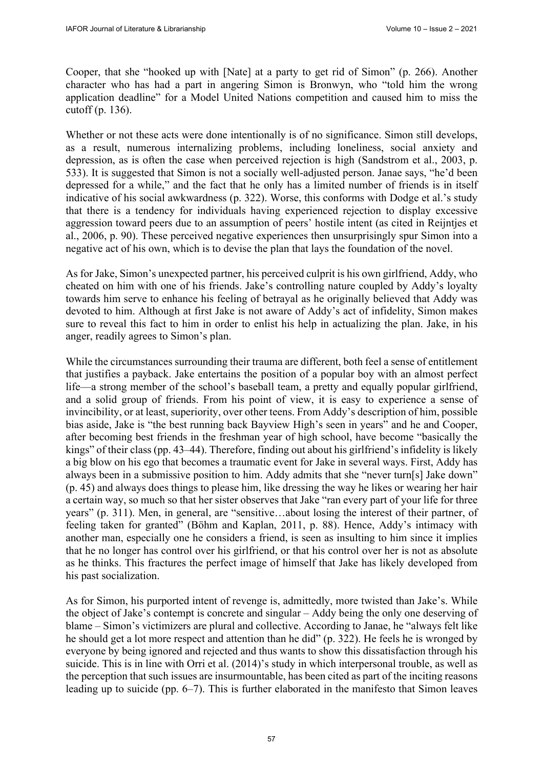Cooper, that she "hooked up with [Nate] at a party to get rid of Simon" (p. 266). Another character who has had a part in angering Simon is Bronwyn, who "told him the wrong application deadline" for a Model United Nations competition and caused him to miss the cutoff (p. 136).

Whether or not these acts were done intentionally is of no significance. Simon still develops, as a result, numerous internalizing problems, including loneliness, social anxiety and depression, as is often the case when perceived rejection is high (Sandstrom et al., 2003, p. 533). It is suggested that Simon is not a socially well-adjusted person. Janae says, "he'd been depressed for a while," and the fact that he only has a limited number of friends is in itself indicative of his social awkwardness (p. 322). Worse, this conforms with Dodge et al.'s study that there is a tendency for individuals having experienced rejection to display excessive aggression toward peers due to an assumption of peers' hostile intent (as cited in Reijntjes et al., 2006, p. 90). These perceived negative experiences then unsurprisingly spur Simon into a negative act of his own, which is to devise the plan that lays the foundation of the novel.

As for Jake, Simon's unexpected partner, his perceived culprit is his own girlfriend, Addy, who cheated on him with one of his friends. Jake's controlling nature coupled by Addy's loyalty towards him serve to enhance his feeling of betrayal as he originally believed that Addy was devoted to him. Although at first Jake is not aware of Addy's act of infidelity, Simon makes sure to reveal this fact to him in order to enlist his help in actualizing the plan. Jake, in his anger, readily agrees to Simon's plan.

While the circumstances surrounding their trauma are different, both feel a sense of entitlement that justifies a payback. Jake entertains the position of a popular boy with an almost perfect life—a strong member of the school's baseball team, a pretty and equally popular girlfriend, and a solid group of friends. From his point of view, it is easy to experience a sense of invincibility, or at least, superiority, over other teens. From Addy's description of him, possible bias aside, Jake is "the best running back Bayview High's seen in years" and he and Cooper, after becoming best friends in the freshman year of high school, have become "basically the kings" of their class (pp. 43–44). Therefore, finding out about his girlfriend's infidelity is likely a big blow on his ego that becomes a traumatic event for Jake in several ways. First, Addy has always been in a submissive position to him. Addy admits that she "never turn[s] Jake down" (p. 45) and always does things to please him, like dressing the way he likes or wearing her hair a certain way, so much so that her sister observes that Jake "ran every part of your life for three years" (p. 311). Men, in general, are "sensitive…about losing the interest of their partner, of feeling taken for granted" (Böhm and Kaplan, 2011, p. 88). Hence, Addy's intimacy with another man, especially one he considers a friend, is seen as insulting to him since it implies that he no longer has control over his girlfriend, or that his control over her is not as absolute as he thinks. This fractures the perfect image of himself that Jake has likely developed from his past socialization.

As for Simon, his purported intent of revenge is, admittedly, more twisted than Jake's. While the object of Jake's contempt is concrete and singular – Addy being the only one deserving of blame – Simon's victimizers are plural and collective. According to Janae, he "always felt like he should get a lot more respect and attention than he did" (p. 322). He feels he is wronged by everyone by being ignored and rejected and thus wants to show this dissatisfaction through his suicide. This is in line with Orri et al. (2014)'s study in which interpersonal trouble, as well as the perception that such issues are insurmountable, has been cited as part of the inciting reasons leading up to suicide (pp. 6–7). This is further elaborated in the manifesto that Simon leaves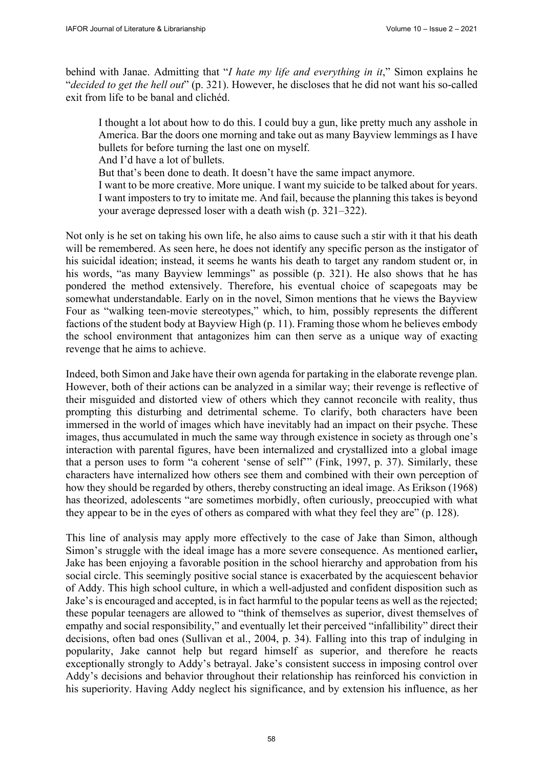behind with Janae. Admitting that "*I hate my life and everything in it*," Simon explains he "*decided to get the hell out*" (p. 321). However, he discloses that he did not want his so-called exit from life to be banal and clichéd.

I thought a lot about how to do this. I could buy a gun, like pretty much any asshole in America. Bar the doors one morning and take out as many Bayview lemmings as I have bullets for before turning the last one on myself.

And I'd have a lot of bullets.

But that's been done to death. It doesn't have the same impact anymore.

I want to be more creative. More unique. I want my suicide to be talked about for years. I want imposters to try to imitate me. And fail, because the planning this takes is beyond your average depressed loser with a death wish (p. 321–322).

Not only is he set on taking his own life, he also aims to cause such a stir with it that his death will be remembered. As seen here, he does not identify any specific person as the instigator of his suicidal ideation; instead, it seems he wants his death to target any random student or, in his words, "as many Bayview lemmings" as possible (p. 321). He also shows that he has pondered the method extensively. Therefore, his eventual choice of scapegoats may be somewhat understandable. Early on in the novel, Simon mentions that he views the Bayview Four as "walking teen-movie stereotypes," which, to him, possibly represents the different factions of the student body at Bayview High (p. 11). Framing those whom he believes embody the school environment that antagonizes him can then serve as a unique way of exacting revenge that he aims to achieve.

Indeed, both Simon and Jake have their own agenda for partaking in the elaborate revenge plan. However, both of their actions can be analyzed in a similar way; their revenge is reflective of their misguided and distorted view of others which they cannot reconcile with reality, thus prompting this disturbing and detrimental scheme. To clarify, both characters have been immersed in the world of images which have inevitably had an impact on their psyche. These images, thus accumulated in much the same way through existence in society as through one's interaction with parental figures, have been internalized and crystallized into a global image that a person uses to form "a coherent 'sense of self'" (Fink, 1997, p. 37). Similarly, these characters have internalized how others see them and combined with their own perception of how they should be regarded by others, thereby constructing an ideal image. As Erikson (1968) has theorized, adolescents "are sometimes morbidly, often curiously, preoccupied with what they appear to be in the eyes of others as compared with what they feel they are" (p. 128).

This line of analysis may apply more effectively to the case of Jake than Simon, although Simon's struggle with the ideal image has a more severe consequence. As mentioned earlier**,**  Jake has been enjoying a favorable position in the school hierarchy and approbation from his social circle. This seemingly positive social stance is exacerbated by the acquiescent behavior of Addy. This high school culture, in which a well-adjusted and confident disposition such as Jake's is encouraged and accepted, is in fact harmful to the popular teens as well as the rejected; these popular teenagers are allowed to "think of themselves as superior, divest themselves of empathy and social responsibility," and eventually let their perceived "infallibility" direct their decisions, often bad ones (Sullivan et al., 2004, p. 34). Falling into this trap of indulging in popularity, Jake cannot help but regard himself as superior, and therefore he reacts exceptionally strongly to Addy's betrayal. Jake's consistent success in imposing control over Addy's decisions and behavior throughout their relationship has reinforced his conviction in his superiority. Having Addy neglect his significance, and by extension his influence, as her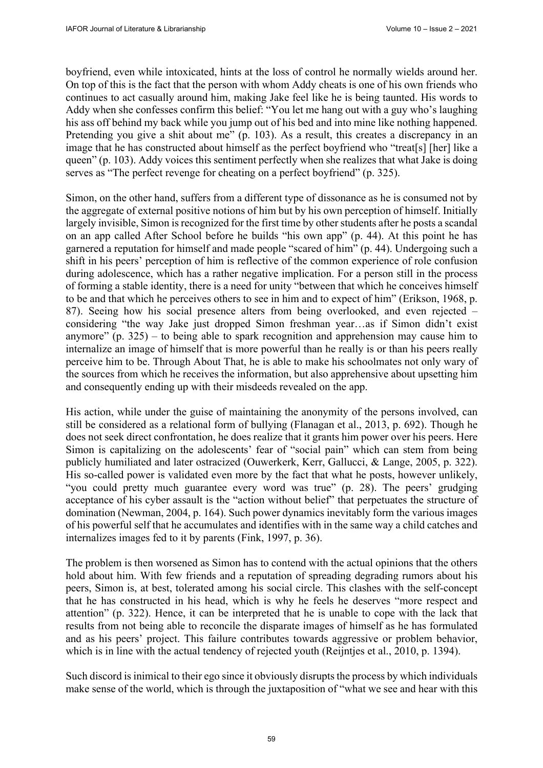boyfriend, even while intoxicated, hints at the loss of control he normally wields around her. On top of this is the fact that the person with whom Addy cheats is one of his own friends who continues to act casually around him, making Jake feel like he is being taunted. His words to Addy when she confesses confirm this belief: "You let me hang out with a guy who's laughing his ass off behind my back while you jump out of his bed and into mine like nothing happened. Pretending you give a shit about me" (p. 103). As a result, this creates a discrepancy in an image that he has constructed about himself as the perfect boyfriend who "treat[s] [her] like a queen" (p. 103). Addy voices this sentiment perfectly when she realizes that what Jake is doing serves as "The perfect revenge for cheating on a perfect boyfriend" (p. 325).

Simon, on the other hand, suffers from a different type of dissonance as he is consumed not by the aggregate of external positive notions of him but by his own perception of himself. Initially largely invisible, Simon is recognized for the first time by other students after he posts a scandal on an app called After School before he builds "his own app" (p. 44). At this point he has garnered a reputation for himself and made people "scared of him" (p. 44). Undergoing such a shift in his peers' perception of him is reflective of the common experience of role confusion during adolescence, which has a rather negative implication. For a person still in the process of forming a stable identity, there is a need for unity "between that which he conceives himself to be and that which he perceives others to see in him and to expect of him" (Erikson, 1968, p. 87). Seeing how his social presence alters from being overlooked, and even rejected – considering "the way Jake just dropped Simon freshman year…as if Simon didn't exist anymore" (p. 325) – to being able to spark recognition and apprehension may cause him to internalize an image of himself that is more powerful than he really is or than his peers really perceive him to be. Through About That, he is able to make his schoolmates not only wary of the sources from which he receives the information, but also apprehensive about upsetting him and consequently ending up with their misdeeds revealed on the app.

His action, while under the guise of maintaining the anonymity of the persons involved, can still be considered as a relational form of bullying (Flanagan et al., 2013, p. 692). Though he does not seek direct confrontation, he does realize that it grants him power over his peers. Here Simon is capitalizing on the adolescents' fear of "social pain" which can stem from being publicly humiliated and later ostracized (Ouwerkerk, Kerr, Gallucci, & Lange, 2005, p. 322). His so-called power is validated even more by the fact that what he posts, however unlikely, "you could pretty much guarantee every word was true" (p. 28). The peers' grudging acceptance of his cyber assault is the "action without belief" that perpetuates the structure of domination (Newman, 2004, p. 164). Such power dynamics inevitably form the various images of his powerful self that he accumulates and identifies with in the same way a child catches and internalizes images fed to it by parents (Fink, 1997, p. 36).

The problem is then worsened as Simon has to contend with the actual opinions that the others hold about him. With few friends and a reputation of spreading degrading rumors about his peers, Simon is, at best, tolerated among his social circle. This clashes with the self-concept that he has constructed in his head, which is why he feels he deserves "more respect and attention" (p. 322). Hence, it can be interpreted that he is unable to cope with the lack that results from not being able to reconcile the disparate images of himself as he has formulated and as his peers' project. This failure contributes towards aggressive or problem behavior, which is in line with the actual tendency of rejected youth (Reijntjes et al., 2010, p. 1394).

Such discord is inimical to their ego since it obviously disrupts the process by which individuals make sense of the world, which is through the juxtaposition of "what we see and hear with this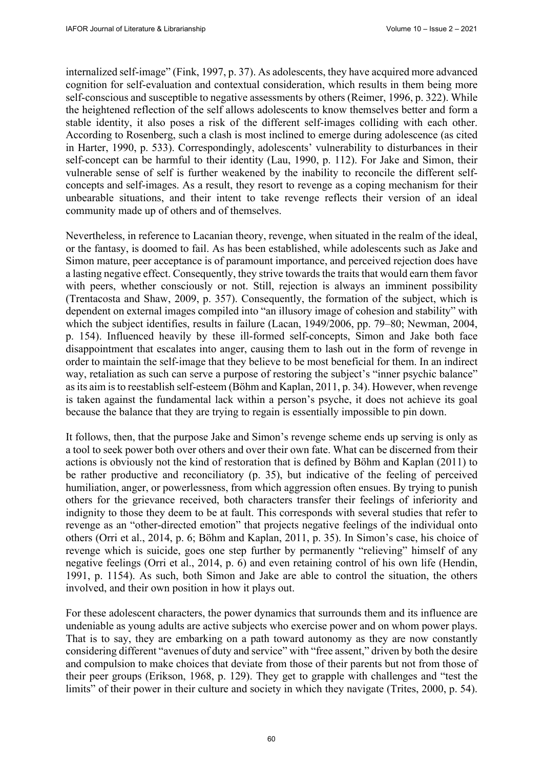internalized self-image" (Fink, 1997, p. 37). As adolescents, they have acquired more advanced cognition for self-evaluation and contextual consideration, which results in them being more self-conscious and susceptible to negative assessments by others (Reimer, 1996, p. 322). While the heightened reflection of the self allows adolescents to know themselves better and form a stable identity, it also poses a risk of the different self-images colliding with each other. According to Rosenberg, such a clash is most inclined to emerge during adolescence (as cited in Harter, 1990, p. 533). Correspondingly, adolescents' vulnerability to disturbances in their self-concept can be harmful to their identity (Lau, 1990, p. 112). For Jake and Simon, their vulnerable sense of self is further weakened by the inability to reconcile the different selfconcepts and self-images. As a result, they resort to revenge as a coping mechanism for their unbearable situations, and their intent to take revenge reflects their version of an ideal community made up of others and of themselves.

Nevertheless, in reference to Lacanian theory, revenge, when situated in the realm of the ideal, or the fantasy, is doomed to fail. As has been established, while adolescents such as Jake and Simon mature, peer acceptance is of paramount importance, and perceived rejection does have a lasting negative effect. Consequently, they strive towards the traits that would earn them favor with peers, whether consciously or not. Still, rejection is always an imminent possibility (Trentacosta and Shaw, 2009, p. 357). Consequently, the formation of the subject, which is dependent on external images compiled into "an illusory image of cohesion and stability" with which the subject identifies, results in failure (Lacan, 1949/2006, pp. 79–80; Newman, 2004, p. 154). Influenced heavily by these ill-formed self-concepts, Simon and Jake both face disappointment that escalates into anger, causing them to lash out in the form of revenge in order to maintain the self-image that they believe to be most beneficial for them. In an indirect way, retaliation as such can serve a purpose of restoring the subject's "inner psychic balance" as its aim is to reestablish self-esteem (Bӧhm and Kaplan, 2011, p. 34). However, when revenge is taken against the fundamental lack within a person's psyche, it does not achieve its goal because the balance that they are trying to regain is essentially impossible to pin down.

It follows, then, that the purpose Jake and Simon's revenge scheme ends up serving is only as a tool to seek power both over others and over their own fate. What can be discerned from their actions is obviously not the kind of restoration that is defined by Bӧhm and Kaplan (2011) to be rather productive and reconciliatory (p. 35), but indicative of the feeling of perceived humiliation, anger, or powerlessness, from which aggression often ensues. By trying to punish others for the grievance received, both characters transfer their feelings of inferiority and indignity to those they deem to be at fault. This corresponds with several studies that refer to revenge as an "other-directed emotion" that projects negative feelings of the individual onto others (Orri et al., 2014, p. 6; Bӧhm and Kaplan, 2011, p. 35). In Simon's case, his choice of revenge which is suicide, goes one step further by permanently "relieving" himself of any negative feelings (Orri et al., 2014, p. 6) and even retaining control of his own life (Hendin, 1991, p. 1154). As such, both Simon and Jake are able to control the situation, the others involved, and their own position in how it plays out.

For these adolescent characters, the power dynamics that surrounds them and its influence are undeniable as young adults are active subjects who exercise power and on whom power plays. That is to say, they are embarking on a path toward autonomy as they are now constantly considering different "avenues of duty and service" with "free assent," driven by both the desire and compulsion to make choices that deviate from those of their parents but not from those of their peer groups (Erikson, 1968, p. 129). They get to grapple with challenges and "test the limits" of their power in their culture and society in which they navigate (Trites, 2000, p. 54).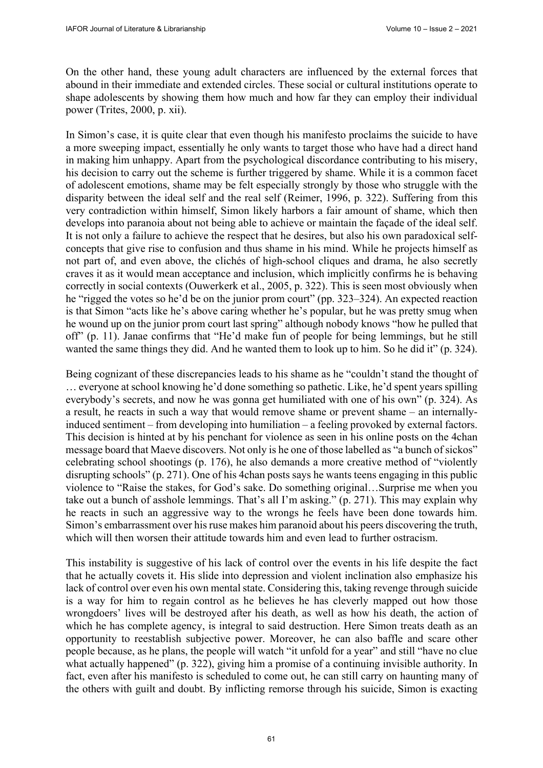On the other hand, these young adult characters are influenced by the external forces that abound in their immediate and extended circles. These social or cultural institutions operate to shape adolescents by showing them how much and how far they can employ their individual power (Trites, 2000, p. xii).

In Simon's case, it is quite clear that even though his manifesto proclaims the suicide to have a more sweeping impact, essentially he only wants to target those who have had a direct hand in making him unhappy. Apart from the psychological discordance contributing to his misery, his decision to carry out the scheme is further triggered by shame. While it is a common facet of adolescent emotions, shame may be felt especially strongly by those who struggle with the disparity between the ideal self and the real self (Reimer, 1996, p. 322). Suffering from this very contradiction within himself, Simon likely harbors a fair amount of shame, which then develops into paranoia about not being able to achieve or maintain the façade of the ideal self. It is not only a failure to achieve the respect that he desires, but also his own paradoxical selfconcepts that give rise to confusion and thus shame in his mind. While he projects himself as not part of, and even above, the clichés of high-school cliques and drama, he also secretly craves it as it would mean acceptance and inclusion, which implicitly confirms he is behaving correctly in social contexts (Ouwerkerk et al., 2005, p. 322). This is seen most obviously when he "rigged the votes so he'd be on the junior prom court" (pp. 323–324). An expected reaction is that Simon "acts like he's above caring whether he's popular, but he was pretty smug when he wound up on the junior prom court last spring" although nobody knows "how he pulled that off" (p. 11). Janae confirms that "He'd make fun of people for being lemmings, but he still wanted the same things they did. And he wanted them to look up to him. So he did it" (p. 324).

Being cognizant of these discrepancies leads to his shame as he "couldn't stand the thought of … everyone at school knowing he'd done something so pathetic. Like, he'd spent years spilling everybody's secrets, and now he was gonna get humiliated with one of his own" (p. 324). As a result, he reacts in such a way that would remove shame or prevent shame – an internallyinduced sentiment – from developing into humiliation – a feeling provoked by external factors. This decision is hinted at by his penchant for violence as seen in his online posts on the 4chan message board that Maeve discovers. Not only is he one of those labelled as "a bunch of sickos" celebrating school shootings (p. 176), he also demands a more creative method of "violently disrupting schools" (p. 271). One of his 4chan posts says he wants teens engaging in this public violence to "Raise the stakes, for God's sake. Do something original…Surprise me when you take out a bunch of asshole lemmings. That's all I'm asking." (p. 271). This may explain why he reacts in such an aggressive way to the wrongs he feels have been done towards him. Simon's embarrassment over his ruse makes him paranoid about his peers discovering the truth, which will then worsen their attitude towards him and even lead to further ostracism.

This instability is suggestive of his lack of control over the events in his life despite the fact that he actually covets it. His slide into depression and violent inclination also emphasize his lack of control over even his own mental state. Considering this, taking revenge through suicide is a way for him to regain control as he believes he has cleverly mapped out how those wrongdoers' lives will be destroyed after his death, as well as how his death, the action of which he has complete agency, is integral to said destruction. Here Simon treats death as an opportunity to reestablish subjective power. Moreover, he can also baffle and scare other people because, as he plans, the people will watch "it unfold for a year" and still "have no clue what actually happened" (p. 322), giving him a promise of a continuing invisible authority. In fact, even after his manifesto is scheduled to come out, he can still carry on haunting many of the others with guilt and doubt. By inflicting remorse through his suicide, Simon is exacting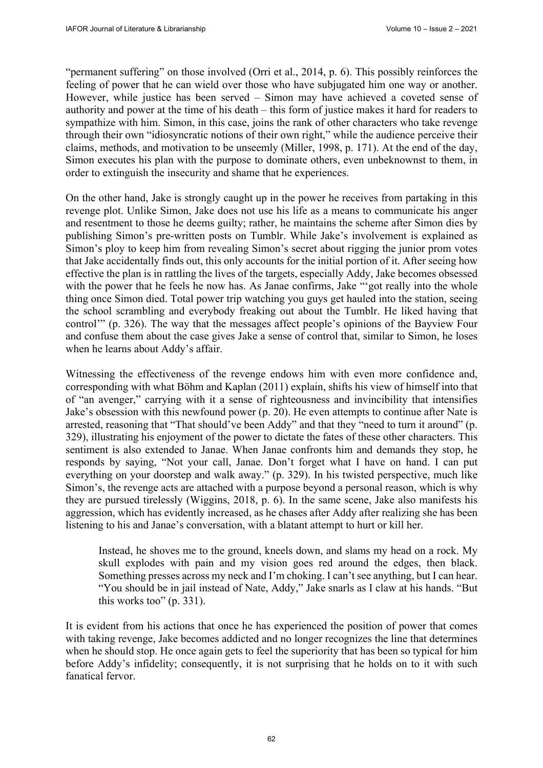"permanent suffering" on those involved (Orri et al., 2014, p. 6). This possibly reinforces the feeling of power that he can wield over those who have subjugated him one way or another. However, while justice has been served – Simon may have achieved a coveted sense of authority and power at the time of his death – this form of justice makes it hard for readers to sympathize with him. Simon, in this case, joins the rank of other characters who take revenge through their own "idiosyncratic notions of their own right," while the audience perceive their claims, methods, and motivation to be unseemly (Miller, 1998, p. 171). At the end of the day, Simon executes his plan with the purpose to dominate others, even unbeknownst to them, in order to extinguish the insecurity and shame that he experiences.

On the other hand, Jake is strongly caught up in the power he receives from partaking in this revenge plot. Unlike Simon, Jake does not use his life as a means to communicate his anger and resentment to those he deems guilty; rather, he maintains the scheme after Simon dies by publishing Simon's pre-written posts on Tumblr. While Jake's involvement is explained as Simon's ploy to keep him from revealing Simon's secret about rigging the junior prom votes that Jake accidentally finds out, this only accounts for the initial portion of it. After seeing how effective the plan is in rattling the lives of the targets, especially Addy, Jake becomes obsessed with the power that he feels he now has. As Janae confirms, Jake "got really into the whole thing once Simon died. Total power trip watching you guys get hauled into the station, seeing the school scrambling and everybody freaking out about the Tumblr. He liked having that control'" (p. 326). The way that the messages affect people's opinions of the Bayview Four and confuse them about the case gives Jake a sense of control that, similar to Simon, he loses when he learns about Addy's affair.

Witnessing the effectiveness of the revenge endows him with even more confidence and, corresponding with what Bӧhm and Kaplan (2011) explain, shifts his view of himself into that of "an avenger," carrying with it a sense of righteousness and invincibility that intensifies Jake's obsession with this newfound power (p. 20). He even attempts to continue after Nate is arrested, reasoning that "That should've been Addy" and that they "need to turn it around" (p. 329), illustrating his enjoyment of the power to dictate the fates of these other characters. This sentiment is also extended to Janae. When Janae confronts him and demands they stop, he responds by saying, "Not your call, Janae. Don't forget what I have on hand. I can put everything on your doorstep and walk away." (p. 329). In his twisted perspective, much like Simon's, the revenge acts are attached with a purpose beyond a personal reason, which is why they are pursued tirelessly (Wiggins, 2018, p. 6). In the same scene, Jake also manifests his aggression, which has evidently increased, as he chases after Addy after realizing she has been listening to his and Janae's conversation, with a blatant attempt to hurt or kill her.

Instead, he shoves me to the ground, kneels down, and slams my head on a rock. My skull explodes with pain and my vision goes red around the edges, then black. Something presses across my neck and I'm choking. I can't see anything, but I can hear. "You should be in jail instead of Nate, Addy," Jake snarls as I claw at his hands. "But this works too" (p. 331).

It is evident from his actions that once he has experienced the position of power that comes with taking revenge, Jake becomes addicted and no longer recognizes the line that determines when he should stop. He once again gets to feel the superiority that has been so typical for him before Addy's infidelity; consequently, it is not surprising that he holds on to it with such fanatical fervor.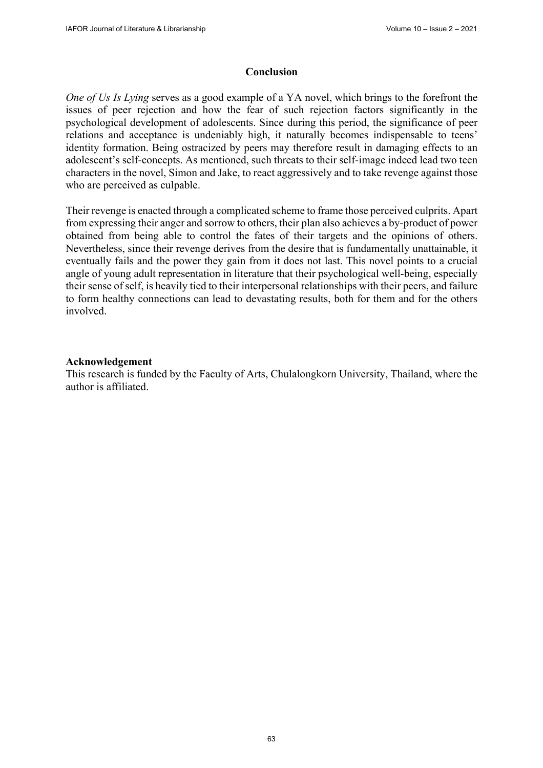## **Conclusion**

*One of Us Is Lying* serves as a good example of a YA novel, which brings to the forefront the issues of peer rejection and how the fear of such rejection factors significantly in the psychological development of adolescents. Since during this period, the significance of peer relations and acceptance is undeniably high, it naturally becomes indispensable to teens' identity formation. Being ostracized by peers may therefore result in damaging effects to an adolescent's self-concepts. As mentioned, such threats to their self-image indeed lead two teen characters in the novel, Simon and Jake, to react aggressively and to take revenge against those who are perceived as culpable.

Their revenge is enacted through a complicated scheme to frame those perceived culprits. Apart from expressing their anger and sorrow to others, their plan also achieves a by-product of power obtained from being able to control the fates of their targets and the opinions of others. Nevertheless, since their revenge derives from the desire that is fundamentally unattainable, it eventually fails and the power they gain from it does not last. This novel points to a crucial angle of young adult representation in literature that their psychological well-being, especially their sense of self, is heavily tied to their interpersonal relationships with their peers, and failure to form healthy connections can lead to devastating results, both for them and for the others involved.

#### **Acknowledgement**

This research is funded by the Faculty of Arts, Chulalongkorn University, Thailand, where the author is affiliated.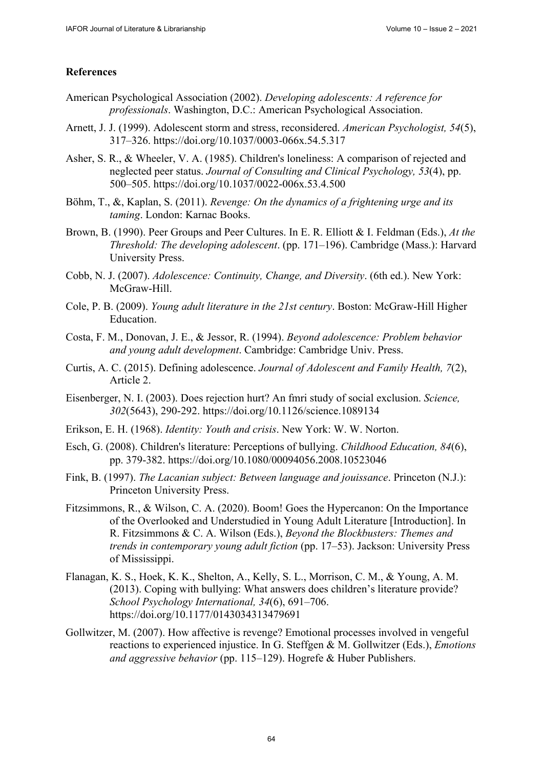## **References**

- American Psychological Association (2002). *Developing adolescents: A reference for professionals*. Washington, D.C.: American Psychological Association.
- Arnett, J. J. (1999). Adolescent storm and stress, reconsidered. *American Psychologist, 54*(5), 317–326.<https://doi.org/10.1037/0003-066x.54.5.317>
- Asher, S. R., & Wheeler, V. A. (1985). Children's loneliness: A comparison of rejected and neglected peer status. *Journal of Consulting and Clinical Psychology, 53*(4), pp. 500–505.<https://doi.org/10.1037/0022-006x.53.4.500>
- Böhm, T., &, Kaplan, S. (2011). *Revenge: On the dynamics of a frightening urge and its taming*. London: Karnac Books.
- Brown, B. (1990). Peer Groups and Peer Cultures. In E. R. Elliott & I. Feldman (Eds.), *At the Threshold: The developing adolescent*. (pp. 171–196). Cambridge (Mass.): Harvard University Press.
- Cobb, N. J. (2007). *Adolescence: Continuity, Change, and Diversity*. (6th ed.). New York: McGraw-Hill.
- Cole, P. B. (2009). *Young adult literature in the 21st century*. Boston: McGraw-Hill Higher Education.
- Costa, F. M., Donovan, J. E., & Jessor, R. (1994). *Beyond adolescence: Problem behavior and young adult development*. Cambridge: Cambridge Univ. Press.
- Curtis, A. C. (2015). Defining adolescence. *Journal of Adolescent and Family Health, 7*(2), Article 2.
- Eisenberger, N. I. (2003). Does rejection hurt? An fmri study of social exclusion. *Science, 302*(5643), 290-292.<https://doi.org/10.1126/science.1089134>
- Erikson, E. H. (1968). *Identity: Youth and crisis*. New York: W. W. Norton.
- Esch, G. (2008). Children's literature: Perceptions of bullying. *Childhood Education, 84*(6), pp. 379-382.<https://doi.org/10.1080/00094056.2008.10523046>
- Fink, B. (1997). *The Lacanian subject: Between language and jouissance*. Princeton (N.J.): Princeton University Press.
- Fitzsimmons, R., & Wilson, C. A. (2020). Boom! Goes the Hypercanon: On the Importance of the Overlooked and Understudied in Young Adult Literature [Introduction]. In R. Fitzsimmons & C. A. Wilson (Eds.), *Beyond the Blockbusters: Themes and trends in contemporary young adult fiction* (pp. 17–53). Jackson: University Press of Mississippi.
- Flanagan, K. S., Hoek, K. K., Shelton, A., Kelly, S. L., Morrison, C. M., & Young, A. M. (2013). Coping with bullying: What answers does children's literature provide? *School Psychology International, 34*(6), 691–706. <https://doi.org/10.1177/0143034313479691>
- Gollwitzer, M. (2007). How affective is revenge? Emotional processes involved in vengeful reactions to experienced injustice. In G. Steffgen & M. Gollwitzer (Eds.), *Emotions and aggressive behavior* (pp. 115–129). Hogrefe & Huber Publishers.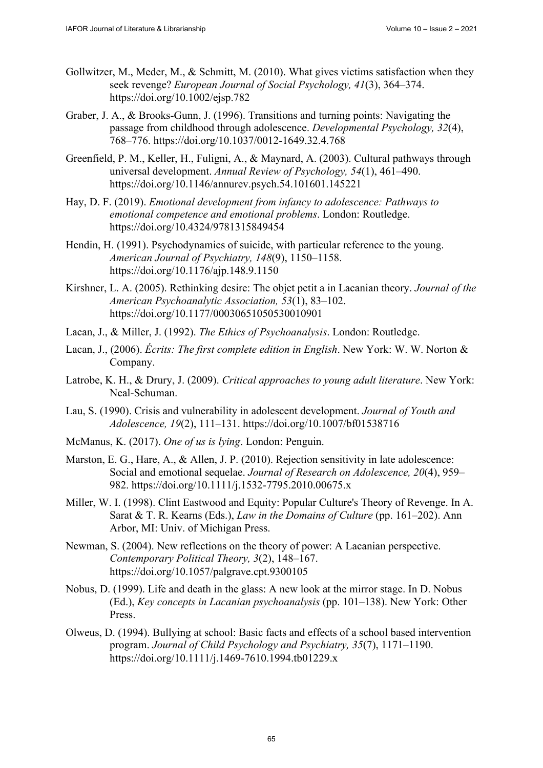- Gollwitzer, M., Meder, M., & Schmitt, M. (2010). What gives victims satisfaction when they seek revenge? *European Journal of Social Psychology, 41*(3), 364–374. <https://doi.org/10.1002/ejsp.782>
- Graber, J. A., & Brooks-Gunn, J. (1996). Transitions and turning points: Navigating the passage from childhood through adolescence. *Developmental Psychology, 32*(4), 768–776.<https://doi.org/10.1037/0012-1649.32.4.768>
- Greenfield, P. M., Keller, H., Fuligni, A., & Maynard, A. (2003). Cultural pathways through universal development. *Annual Review of Psychology, 54*(1), 461–490. <https://doi.org/10.1146/annurev.psych.54.101601.145221>
- Hay, D. F. (2019). *Emotional development from infancy to adolescence: Pathways to emotional competence and emotional problems*. London: Routledge. <https://doi.org/10.4324/9781315849454>
- Hendin, H. (1991). Psychodynamics of suicide, with particular reference to the young. *American Journal of Psychiatry, 148*(9), 1150–1158. <https://doi.org/10.1176/ajp.148.9.1150>
- Kirshner, L. A. (2005). Rethinking desire: The objet petit a in Lacanian theory. *Journal of the American Psychoanalytic Association, 53*(1), 83–102. <https://doi.org/10.1177/00030651050530010901>
- Lacan, J., & Miller, J. (1992). *The Ethics of Psychoanalysis*. London: Routledge.
- Lacan, J., (2006). *Écrits: The first complete edition in English*. New York: W. W. Norton & Company.
- Latrobe, K. H., & Drury, J. (2009). *Critical approaches to young adult literature*. New York: Neal-Schuman.
- Lau, S. (1990). Crisis and vulnerability in adolescent development. *Journal of Youth and Adolescence, 19*(2), 111–131.<https://doi.org/10.1007/bf01538716>
- McManus, K. (2017). *One of us is lying*. London: Penguin.
- Marston, E. G., Hare, A., & Allen, J. P. (2010). Rejection sensitivity in late adolescence: Social and emotional sequelae. *Journal of Research on Adolescence, 20*(4), 959– 982.<https://doi.org/10.1111/j.1532-7795.2010.00675.x>
- Miller, W. I. (1998). Clint Eastwood and Equity: Popular Culture's Theory of Revenge. In A. Sarat & T. R. Kearns (Eds.), *Law in the Domains of Culture* (pp. 161–202). Ann Arbor, MI: Univ. of Michigan Press.
- Newman, S. (2004). New reflections on the theory of power: A Lacanian perspective. *Contemporary Political Theory, 3*(2), 148–167. <https://doi.org/10.1057/palgrave.cpt.9300105>
- Nobus, D. (1999). Life and death in the glass: A new look at the mirror stage. In D. Nobus (Ed.), *Key concepts in Lacanian psychoanalysis* (pp. 101–138). New York: Other Press.
- Olweus, D. (1994). Bullying at school: Basic facts and effects of a school based intervention program. *Journal of Child Psychology and Psychiatry, 35*(7), 1171–1190. <https://doi.org/10.1111/j.1469-7610.1994.tb01229.x>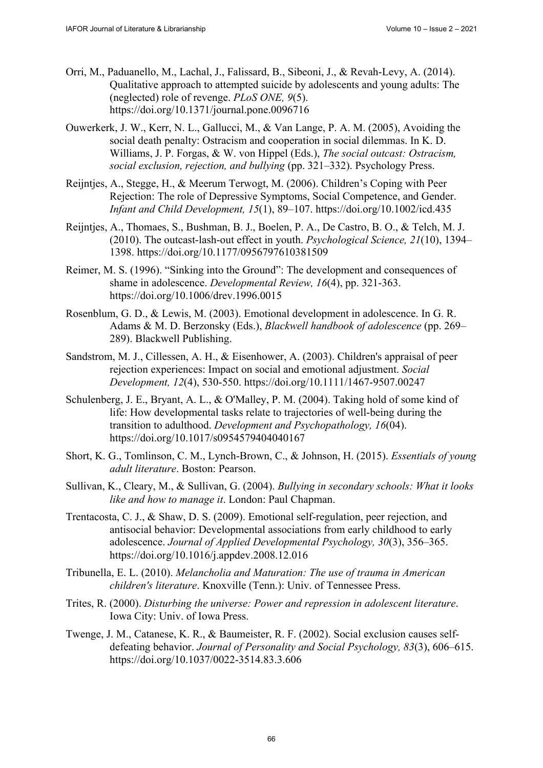- Orri, M., Paduanello, M., Lachal, J., Falissard, B., Sibeoni, J., & Revah-Levy, A. (2014). Qualitative approach to attempted suicide by adolescents and young adults: The (neglected) role of revenge. *PLoS ONE, 9*(5). <https://doi.org/10.1371/journal.pone.0096716>
- Ouwerkerk, J. W., Kerr, N. L., Gallucci, M., & Van Lange, P. A. M. (2005), Avoiding the social death penalty: Ostracism and cooperation in social dilemmas. In K. D. Williams, J. P. Forgas, & W. von Hippel (Eds.), *The social outcast: Ostracism, social exclusion, rejection, and bullying* (pp. 321–332). Psychology Press.
- Reijntjes, A., Stegge, H., & Meerum Terwogt, M. (2006). Children's Coping with Peer Rejection: The role of Depressive Symptoms, Social Competence, and Gender. *Infant and Child Development, 15*(1), 89–107. <https://doi.org/10.1002/icd.435>
- Reijntjes, A., Thomaes, S., Bushman, B. J., Boelen, P. A., De Castro, B. O., & Telch, M. J. (2010). The outcast-lash-out effect in youth. *Psychological Science, 21*(10), 1394– 1398.<https://doi.org/10.1177/0956797610381509>
- Reimer, M. S. (1996). "Sinking into the Ground": The development and consequences of shame in adolescence. *Developmental Review, 16*(4), pp. 321-363. <https://doi.org/10.1006/drev.1996.0015>
- Rosenblum, G. D., & Lewis, M. (2003). Emotional development in adolescence. In G. R. Adams & M. D. Berzonsky (Eds.), *Blackwell handbook of adolescence* (pp. 269– 289). Blackwell Publishing.
- Sandstrom, M. J., Cillessen, A. H., & Eisenhower, A. (2003). Children's appraisal of peer rejection experiences: Impact on social and emotional adjustment. *Social Development, 12*(4), 530-550. <https://doi.org/10.1111/1467-9507.00247>
- Schulenberg, J. E., Bryant, A. L., & O'Malley, P. M. (2004). Taking hold of some kind of life: How developmental tasks relate to trajectories of well-being during the transition to adulthood. *Development and Psychopathology, 16*(04). <https://doi.org/10.1017/s0954579404040167>
- Short, K. G., Tomlinson, C. M., Lynch-Brown, C., & Johnson, H. (2015). *Essentials of young adult literature*. Boston: Pearson.
- Sullivan, K., Cleary, M., & Sullivan, G. (2004). *Bullying in secondary schools: What it looks like and how to manage it*. London: Paul Chapman.
- Trentacosta, C. J., & Shaw, D. S. (2009). Emotional self-regulation, peer rejection, and antisocial behavior: Developmental associations from early childhood to early adolescence. *Journal of Applied Developmental Psychology, 30*(3), 356–365. <https://doi.org/10.1016/j.appdev.2008.12.016>
- Tribunella, E. L. (2010). *Melancholia and Maturation: The use of trauma in American children's literature*. Knoxville (Tenn.): Univ. of Tennessee Press.
- Trites, R. (2000). *Disturbing the universe: Power and repression in adolescent literature*. Iowa City: Univ. of Iowa Press.
- Twenge, J. M., Catanese, K. R., & Baumeister, R. F. (2002). Social exclusion causes selfdefeating behavior. *Journal of Personality and Social Psychology, 83*(3), 606–615. <https://doi.org/10.1037/0022-3514.83.3.606>